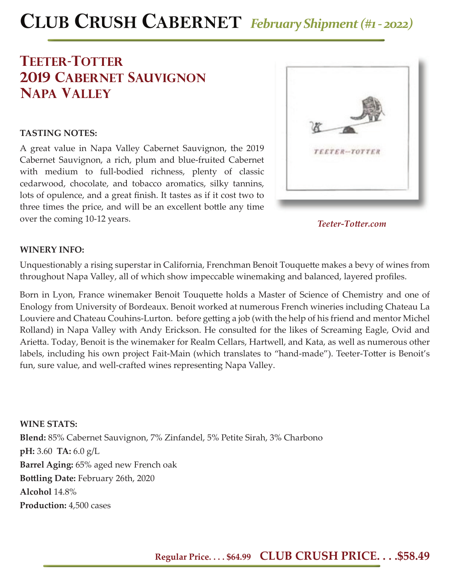# **CLUB CRUSH CABERNET** *February Shipment (#1 - 2022)*

# **teeter-totter 2019 cabernet sauvignon napa valley**

#### **TASTING NOTES:**

A great value in Napa Valley Cabernet Sauvignon, the 2019 Cabernet Sauvignon, a rich, plum and blue-fruited Cabernet with medium to full-bodied richness, plenty of classic cedarwood, chocolate, and tobacco aromatics, silky tannins, lots of opulence, and a great finish. It tastes as if it cost two to three times the price, and will be an excellent bottle any time over the coming 10-12 years.



*Teeter-Tott er.com*

#### **WINERY INFO:**

Unquestionably a rising superstar in California, Frenchman Benoit Touquette makes a bevy of wines from throughout Napa Valley, all of which show impeccable winemaking and balanced, layered profiles.

Born in Lyon, France winemaker Benoit Touquette holds a Master of Science of Chemistry and one of Enology from University of Bordeaux. Benoit worked at numerous French wineries including Chateau La Louviere and Chateau Couhins-Lurton. before getting a job (with the help of his friend and mentor Michel Rolland) in Napa Valley with Andy Erickson. He consulted for the likes of Screaming Eagle, Ovid and Arietta. Today, Benoit is the winemaker for Realm Cellars, Hartwell, and Kata, as well as numerous other labels, including his own project Fait-Main (which translates to "hand-made"). Teeter-Totter is Benoit's fun, sure value, and well-crafted wines representing Napa Valley.

**WINE STATS: Blend:** 85% Cabernet Sauvignon, 7% Zinfandel, 5% Petite Sirah, 3% Charbono **pH:** 3.60 **TA:** 6.0 g/L **Barrel Aging:** 65% aged new French oak **Bott ling Date:** February 26th, 2020 **Alcohol** 14.8% **Production:** 4,500 cases